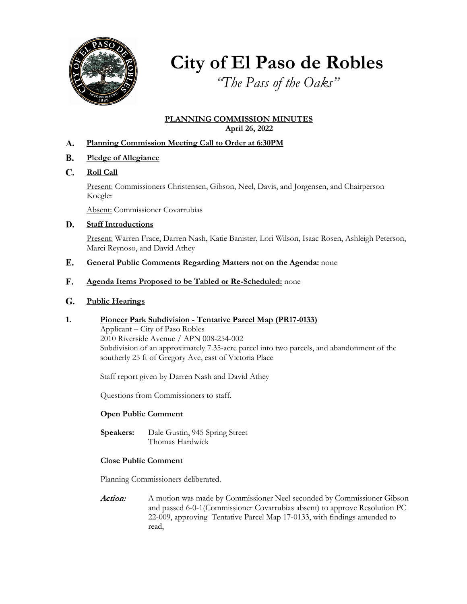

**City of El Paso de Robles**

*"The Pass of the Oaks"*

#### **PLANNING COMMISSION MINUTES April 26, 2022**

- **Planning Commission Meeting Call to Order at 6:30PM** A.
- **Pledge of Allegiance B.**
- **Roll Call** C.

Present: Commissioners Christensen, Gibson, Neel, Davis, and Jorgensen, and Chairperson Koegler

Absent: Commissioner Covarrubias

#### **Staff Introductions D.**

Present: Warren Frace, Darren Nash, Katie Banister, Lori Wilson, Isaac Rosen, Ashleigh Peterson, Marci Reynoso, and David Athey

- **General Public Comments Regarding Matters not on the Agenda:** none E.
- **Agenda Items Proposed to be Tabled or Re-Scheduled:** none **F.**

#### **Public Hearings** G.

**1. Pioneer Park Subdivision - Tentative Parcel Map (PR17-0133)**

Applicant – City of Paso Robles 2010 Riverside Avenue / APN 008-254-002 Subdivision of an approximately 7.35-acre parcel into two parcels, and abandonment of the southerly 25 ft of Gregory Ave, east of Victoria Place

Staff report given by Darren Nash and David Athey

Questions from Commissioners to staff.

#### **Open Public Comment**

**Speakers:** Dale Gustin, 945 Spring Street Thomas Hardwick

#### **Close Public Comment**

Planning Commissioners deliberated.

Action: A motion was made by Commissioner Neel seconded by Commissioner Gibson and passed 6-0-1(Commissioner Covarrubias absent) to approve Resolution PC 22-009, approving Tentative Parcel Map 17-0133, with findings amended to read,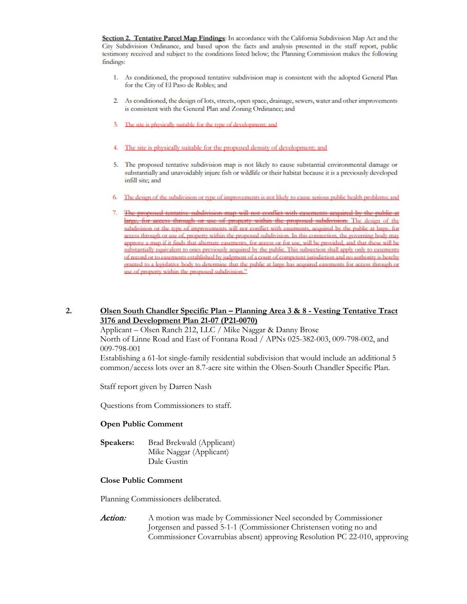Section 2. Tentative Parcel Map Findings: In accordance with the California Subdivision Map Act and the City Subdivision Ordinance, and based upon the facts and analysis presented in the staff report, public testimony received and subject to the conditions listed below; the Planning Commission makes the following findings:

- 1. As conditioned, the proposed tentative subdivision map is consistent with the adopted General Plan for the City of El Paso de Robles; and
- 2. As conditioned, the design of lots, streets, open space, drainage, sewers, water and other improvements is consistent with the General Plan and Zoning Ordinance; and
- 3. The site is physically suitable for the type of development; and
- 4. The site is physically suitable for the proposed density of development; and
- 5. The proposed tentative subdivision map is not likely to cause substantial environmental damage or substantially and unavoidably injure fish or wildlife or their habitat because it is a previously developed infill site; and
- 6. The design of the subdivision or type of improvements is not likely to cause serious public health problems; and
- 7. The proposed tentative subdivision map will not conflict with casements acquired by the public at large, for access through or use of property within the proposed subdivision. The design of the subdivision or the type of improvements will not conflict with easements, acquired by the public at large, for access through or use of, property within the proposed subdivision. In this connection, the governing body may approve a map if it finds that alternate easements, for access or for use, will be provided, and that these will be substantially equivalent to ones previously acquired by the public. This subsection shall apply only to easements  $\alpha$  **f** record or to easements established by judgment of a court of competent jurisdiction and no authority is hereby pranted to a legislative body to determine that the public at large has acquired easements for access through or use of property within the proposed subdivision."

#### **2. Olsen South Chandler Specific Plan – Planning Area 3 & 8 - Vesting Tentative Tract 3176 and Development Plan 21-07 (P21-0070)**

Applicant – Olsen Ranch 212, LLC / Mike Naggar & Danny Brose North of Linne Road and East of Fontana Road / APNs 025-382-003, 009-798-002, and 009-798-001

Establishing a 61-lot single-family residential subdivision that would include an additional 5 common/access lots over an 8.7-acre site within the Olsen-South Chandler Specific Plan.

Staff report given by Darren Nash

Questions from Commissioners to staff.

#### **Open Public Comment**

**Speakers:** Brad Brekwald (Applicant) Mike Naggar (Applicant) Dale Gustin

#### **Close Public Comment**

Planning Commissioners deliberated.

Action: A motion was made by Commissioner Neel seconded by Commissioner Jorgensen and passed 5-1-1 (Commissioner Christensen voting no and Commissioner Covarrubias absent) approving Resolution PC 22-010, approving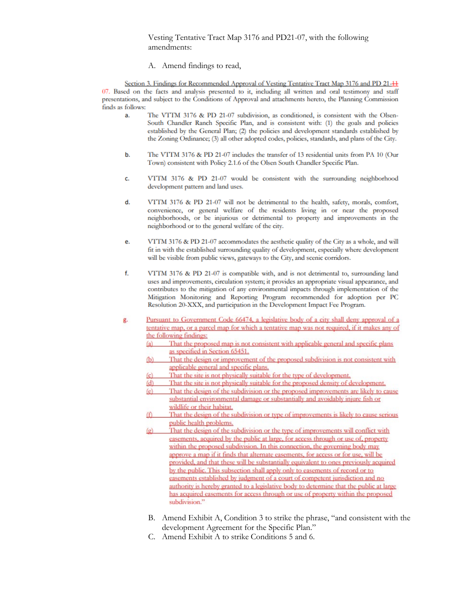Vesting Tentative Tract Map 3176 and PD21-07, with the following amendments:

A. Amend findings to read,

Section 3. Findings for Recommended Approval of Vesting Tentative Tract Map 3176 and PD 21-<sup>11</sup> 07. Based on the facts and analysis presented to it, including all written and oral testimony and staff presentations, and subject to the Conditions of Approval and attachments hereto, the Planning Commission **finds as follows:** 

- a. The VTTM 3176 & PD 21-07 subdivision, as conditioned, is consistent with the Olsen-South Chandler Ranch Specific Plan, and is consistent with: (1) the goals and policies established by the General Plan; (2) the policies and development standards established by the Zoning Ordinance; (3) all other adopted codes, policies, standards, and plans of the City.
- b. The VTTM 3176 & PD 21-07 includes the transfer of 13 residential units from PA 10 (Our Town) consistent with Policy 2.1.6 of the Olsen South Chandler Specific Plan.
- c. VTTM 3176 & PD 21-07 would be consistent with the surrounding neighborhood **development pattern and land uses.**
- d. VTTM 3176 & PD 21-07 will not be detrimental to the health, safety, morals, comfort, **convenience, or general welfare of the residents living in or near the proposed**  neighborhoods, or be injurious or detrimental 10 property and improvements in the neighborhood or to the general welfare of the city.
- e. VTTM 3176 & PD 21-07 accommodates the aesthetic quality of the City as a whole, and will fit in with the established surrounding quality of development, especially where development **will be visible from public views, gateways to the City, and scenic corridors.**
- f. Vrf'M 3176 & PD 21-07 is compatible with, and is not detrimental to, surrounding land uses and improvements, circulation system; it provides an appropriate visual appearance, and contributes to the mitigation of any environmental impacts through implementation of the Mitigation Monitoring and Reporting Program recommended for adoption per PC Resolution 20-XXX, and participation in the Development Impact Fee Program.
- g. Pursuant to Government Code 66474, a legislative body of a city shall deny approval of a tentative map, or a parcel map for which a tentative map was not required, if it makes any of **he following findings:**<br>(a) That the proposed map is not consistent with applicable general and specific plans
	- **as specified in Section 65451.**
	- (b) That the design or improvement of the proposed subdivision is not consistent with applicable general and specific plans.
	- (c) That the site is not physically suitable for the type of development.
	- $(d)$  **That the site is not physically suitable for the proposed density of development.**
	- $(c)$  **That the design of the subdivision or the proposed improvements are likely to cause** substantial environmental damage or substantially and avoidably injure fish or wildlife or their habitat.
	- That the design of the subdivision or type of improvements is likely to cause serious  $(f)$ **public health problems.**
	- $(\mathbf{p})$ **That the design of the subdivision or the type of improvements will conflict with** easements, acquired by the public at large, for access through or use of, property within the proposed subdivision. In this connection, the governing body may approve a map if it finds that alternate easements, for access or for use, will be provided, and that these will be substantially equivalent to ones previously acquired by the public. This subsection shall apply only to easements of record or to easements established by judgment of a court of competent jurisdiction and no  $\alpha$  authority is hereby granted to a legislative body to determine that the public at large has acquired easements for access through or use of property within the proposed subdivision."
	- B. Amend Exhibit A, Condition 3 to strike the phrase, "and consistent with the development Agreement for the Specific Plan."
	- C. Amend Exhibit A to strike Conditions 5 and 6.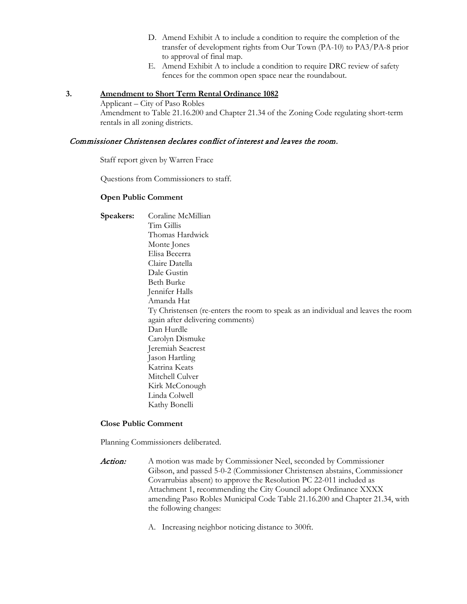- D. Amend Exhibit A to include a condition to require the completion of the transfer of development rights from Our Town (PA-10) to PA3/PA-8 prior to approval of final map.
- E. Amend Exhibit A to include a condition to require DRC review of safety fences for the common open space near the roundabout.

#### **3. Amendment to Short Term Rental Ordinance 1082**

Applicant – City of Paso Robles Amendment to Table 21.16.200 and Chapter 21.34 of the Zoning Code regulating short-term rentals in all zoning districts.

#### Commissioner Christensen declares conflict of interest and leaves the room.

Staff report given by Warren Frace

Questions from Commissioners to staff.

#### **Open Public Comment**

**Speakers:** Coraline McMillian Tim Gillis Thomas Hardwick Monte Jones Elisa Becerra Claire Datella Dale Gustin Beth Burke Jennifer Halls Amanda Hat Ty Christensen (re-enters the room to speak as an individual and leaves the room again after delivering comments) Dan Hurdle Carolyn Dismuke Jeremiah Seacrest Jason Hartling Katrina Keats Mitchell Culver Kirk McConough Linda Colwell Kathy Bonelli

## **Close Public Comment**

Planning Commissioners deliberated.

- Action: A motion was made by Commissioner Neel, seconded by Commissioner Gibson, and passed 5-0-2 (Commissioner Christensen abstains, Commissioner Covarrubias absent) to approve the Resolution PC 22-011 included as Attachment 1, recommending the City Council adopt Ordinance XXXX amending Paso Robles Municipal Code Table 21.16.200 and Chapter 21.34, with the following changes:
	- A. Increasing neighbor noticing distance to 300ft.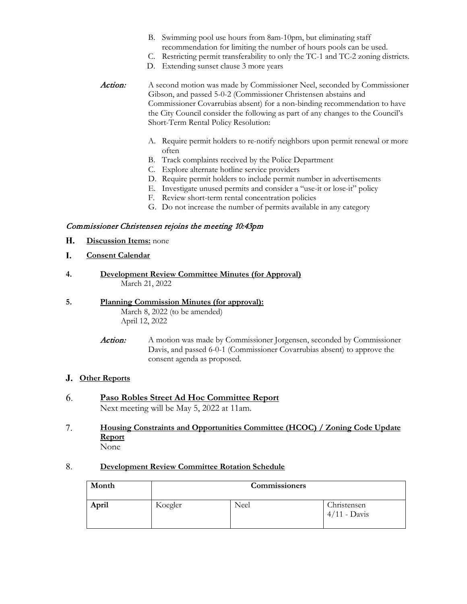- B. Swimming pool use hours from 8am-10pm, but eliminating staff recommendation for limiting the number of hours pools can be used.
- C. Restricting permit transferability to only the TC-1 and TC-2 zoning districts.
- D. Extending sunset clause 3 more years
- Action: A second motion was made by Commissioner Neel, seconded by Commissioner Gibson, and passed 5-0-2 (Commissioner Christensen abstains and Commissioner Covarrubias absent) for a non-binding recommendation to have the City Council consider the following as part of any changes to the Council's Short-Term Rental Policy Resolution:
	- A. Require permit holders to re-notify neighbors upon permit renewal or more often
	- B. Track complaints received by the Police Department
	- C. Explore alternate hotline service providers
	- D. Require permit holders to include permit number in advertisements
	- E. Investigate unused permits and consider a "use-it or lose-it" policy
	- F. Review short-term rental concentration policies
	- G. Do not increase the number of permits available in any category

#### Commissioner Christensen rejoins the meeting 10:43pm

- **Discussion Items:** none H.
- **Consent Calendar** I.
- **4. Development Review Committee Minutes (for Approval)** March 21, 2022

#### **5. Planning Commission Minutes (for approval):** March 8, 2022 (to be amended) April 12, 2022

**Action:** A motion was made by Commissioner Jorgensen, seconded by Commissioner Davis, and passed 6-0-1 (Commissioner Covarrubias absent) to approve the consent agenda as proposed.

### **Other Reports** J.

- **Paso Robles Street Ad Hoc Committee Report** Next meeting will be May 5, 2022 at 11am. 6.
- **Housing Constraints and Opportunities Committee (HCOC) / Zoning Code Update Report**  None 7.

#### **Development Review Committee Rotation Schedule**  8.

| Month | <b>Commissioners</b> |      |                               |
|-------|----------------------|------|-------------------------------|
| April | Koegler              | Neel | Christensen<br>$4/11$ - Davis |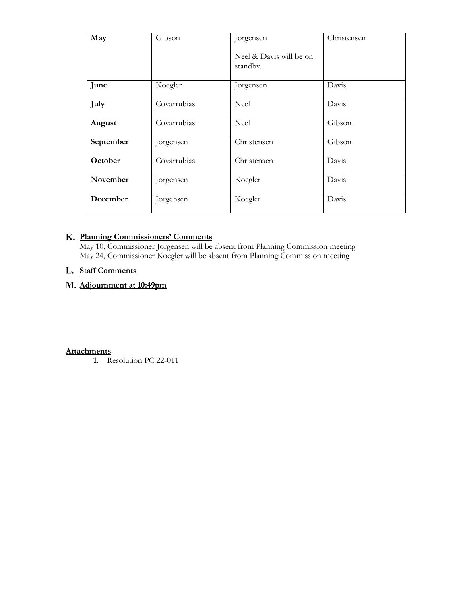| May       | Gibson      | Jorgensen                           | Christensen |
|-----------|-------------|-------------------------------------|-------------|
|           |             | Neel & Davis will be on<br>standby. |             |
| June      | Koegler     | Jorgensen                           | Davis       |
| July      | Covarrubias | Neel                                | Davis       |
| August    | Covarrubias | <b>Neel</b>                         | Gibson      |
| September | Jorgensen   | Christensen                         | Gibson      |
| October   | Covarrubias | Christensen                         | Davis       |
| November  | Jorgensen   | Koegler                             | Davis       |
| December  | Jorgensen   | Koegler                             | Davis       |

## **Planning Commissioners' Comments** K. Planning Commissioners' Comments<br>May 10. Commissioner Jorgensen will be

May 10, Commissioner Jorgensen will be absent from Planning Commission meeting May 24, Commissioner Koegler will be absent from Planning Commission meeting

### **Staff Comments** L.

# L. <u>Statt Comments</u><br>M. <u>Adjournment at 10:49pm</u>

**Attachments**

**1.** Resolution PC 22-011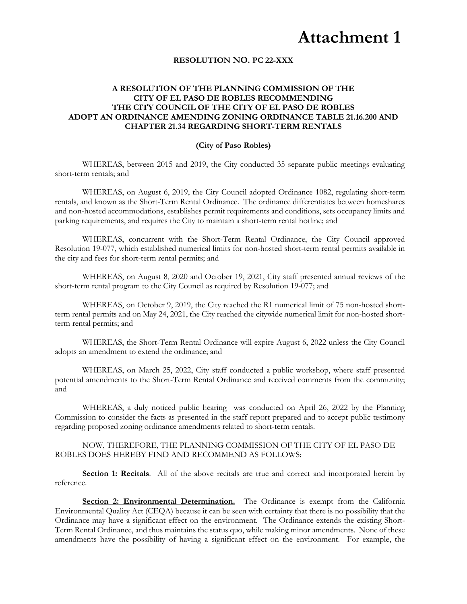## **Attachment 1**

#### **RESOLUTION NO. PC 22-XXX**

#### **A RESOLUTION OF THE PLANNING COMMISSION OF THE CITY OF EL PASO DE ROBLES RECOMMENDING THE CITY COUNCIL OF THE CITY OF EL PASO DE ROBLES ADOPT AN ORDINANCE AMENDING ZONING ORDINANCE TABLE 21.16.200 AND CHAPTER 21.34 REGARDING SHORT-TERM RENTALS**

#### **(City of Paso Robles)**

WHEREAS, between 2015 and 2019, the City conducted 35 separate public meetings evaluating short-term rentals; and

WHEREAS, on August 6, 2019, the City Council adopted Ordinance 1082, regulating short-term rentals, and known as the Short-Term Rental Ordinance. The ordinance differentiates between homeshares and non-hosted accommodations, establishes permit requirements and conditions, sets occupancy limits and parking requirements, and requires the City to maintain a short-term rental hotline; and

WHEREAS, concurrent with the Short-Term Rental Ordinance, the City Council approved Resolution 19-077, which established numerical limits for non-hosted short-term rental permits available in the city and fees for short-term rental permits; and

WHEREAS, on August 8, 2020 and October 19, 2021, City staff presented annual reviews of the short-term rental program to the City Council as required by Resolution 19-077; and

WHEREAS, on October 9, 2019, the City reached the R1 numerical limit of 75 non-hosted shortterm rental permits and on May 24, 2021, the City reached the citywide numerical limit for non-hosted shortterm rental permits; and

WHEREAS, the Short-Term Rental Ordinance will expire August 6, 2022 unless the City Council adopts an amendment to extend the ordinance; and

WHEREAS, on March 25, 2022, City staff conducted a public workshop, where staff presented potential amendments to the Short-Term Rental Ordinance and received comments from the community; and

WHEREAS, a duly noticed public hearing was conducted on April 26, 2022 by the Planning Commission to consider the facts as presented in the staff report prepared and to accept public testimony regarding proposed zoning ordinance amendments related to short-term rentals.

NOW, THEREFORE, THE PLANNING COMMISSION OF THE CITY OF EL PASO DE ROBLES DOES HEREBY FIND AND RECOMMEND AS FOLLOWS:

**Section 1: Recitals.** All of the above recitals are true and correct and incorporated herein by reference.

**Section 2: Environmental Determination.** The Ordinance is exempt from the California Environmental Quality Act (CEQA) because it can be seen with certainty that there is no possibility that the Ordinance may have a significant effect on the environment. The Ordinance extends the existing Short-Term Rental Ordinance, and thus maintains the status quo, while making minor amendments. None of these amendments have the possibility of having a significant effect on the environment. For example, the